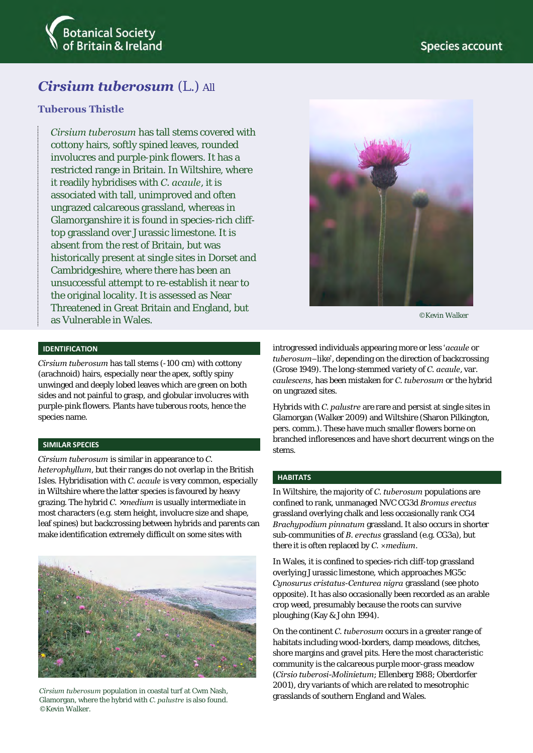

# *Cirsium tuberosum* (L.) All

## **Tuberous Thistle**

*Cirsium tuberosum* has tall stems covered with cottony hairs, softly spined leaves, rounded involucres and purple-pink flowers. It has a restricted range in Britain. In Wiltshire, where it readily hybridises with *C. acaule*, it is associated with tall, unimproved and often ungrazed calcareous grassland, whereas in Glamorganshire it is found in species-rich clifftop grassland over Jurassic limestone. It is absent from the rest of Britain, but was historically present at single sites in Dorset and Cambridgeshire, where there has been an unsuccessful attempt to re-establish it near to the original locality. It is assessed as Near Threatened in Great Britain and England, but as Vulnerable in Wales.



*Cirsium tuberosum* has tall stems (-100 cm) with cottony (arachnoid) hairs, especially near the apex, softly spiny unwinged and deeply lobed leaves which are green on both sides and not painful to grasp, and globular involucres with purple-pink flowers. Plants have tuberous roots, hence the species name.

#### **SIMILAR SPECIES**

*Cirsium tuberosum* is similar in appearance to *C. heterophyllum*, but their ranges do not overlap in the British Isles. Hybridisation with *C. acaule* is very common, especially in Wiltshire where the latter species is favoured by heavy grazing. The hybrid *C.* ×*medium* is usually intermediate in most characters (e.g. stem height, involucre size and shape, leaf spines) but backcrossing between hybrids and parents can make identification extremely difficult on some sites with



grasslands of southern England and Wales. *Cirsium tuberosum* population in coastal turf at Cwm Nash, Glamorgan, where the hybrid with *C. palustre* is also found. ©Kevin Walker.



©Kevin Walker

introgressed individuals appearing more or less '*acaule* or *tuberosum*–like', depending on the direction of backcrossing (Grose 1949). The long-stemmed variety of *C. acaule*, var. *caulescens*, has been mistaken for *C. tuberosum* or the hybrid on ungrazed sites.

Hybrids with *C. palustre* are rare and persist at single sites in Glamorgan (Walker 2009) and Wiltshire (Sharon Pilkington, pers. comm.). These have much smaller flowers borne on branched infloresences and have short decurrent wings on the stems.

## **HABITATS**

In Wiltshire, the majority of *C. tuberosum* populations are confined to rank, unmanaged NVC CG3d *Bromus erectus* grassland overlying chalk and less occasionally rank CG4 *Brachypodium pinnatum* grassland. It also occurs in shorter sub-communities of *B. erectus* grassland (e.g. CG3a), but there it is often replaced by *C. ×medium*.

In Wales, it is confined to species-rich cliff-top grassland overlying Jurassic limestone, which approaches MG5c *Cynosurus cristatus*-*Centurea nigra* grassland (see photo opposite). It has also occasionally been recorded as an arable crop weed, presumably because the roots can survive ploughing (Kay & John 1994).

On the continent *C. tuberosum* occurs in a greater range of habitats including wood-borders, damp meadows, ditches, shore margins and gravel pits. Here the most characteristic community is the calcareous purple moor-grass meadow (*Cirsio tuberosi-Molinietum*; Ellenberg 1988; Oberdorfer 2001), dry variants of which are related to mesotrophic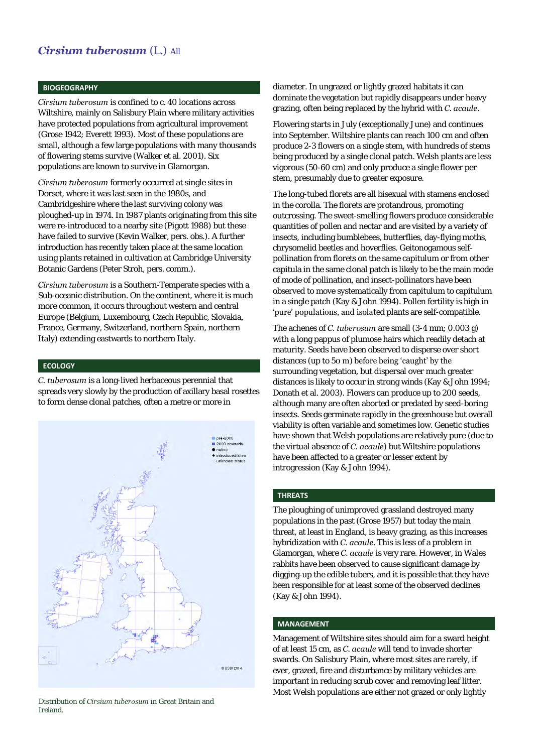#### **BIOGEOGRAPHY**

*Cirsium tuberosum* is confined to c. 40 locations across Wiltshire, mainly on Salisbury Plain where military activities have protected populations from agricultural improvement (Grose 1942; Everett 1993). Most of these populations are small, although a few large populations with many thousands of flowering stems survive (Walker et al. 2001). Six populations are known to survive in Glamorgan.

*Cirsium tuberosum* formerly occurred at single sites in Dorset, where it was last seen in the 1980s, and Cambridgeshire where the last surviving colony was ploughed-up in 1974. In 1987 plants originating from this site were re-introduced to a nearby site (Pigott 1988) but these have failed to survive (Kevin Walker, pers. obs.). A further introduction has recently taken place at the same location using plants retained in cultivation at Cambridge University Botanic Gardens (Peter Stroh, pers. comm.).

*Cirsium tuberosum* is a Southern-Temperate species with a Sub-oceanic distribution. On the continent, where it is much more common, it occurs throughout western and central Europe (Belgium, Luxembourg, Czech Republic, Slovakia, France, Germany, Switzerland, northern Spain, northern Italy) extending eastwards to northern Italy.

#### **ECOLOGY**

*C. tuberosum* is a long-lived herbaceous perennial that spreads very slowly by the production of axillary basal rosettes to form dense clonal patches, often a metre or more in



Distribution of *Cirsium tuberosum* in Great Britain and Ireland.

diameter. In ungrazed or lightly grazed habitats it can dominate the vegetation but rapidly disappears under heavy grazing, often being replaced by the hybrid with *C. acaule*.

Flowering starts in July (exceptionally June) and continues into September. Wiltshire plants can reach 100 cm and often produce 2-3 flowers on a single stem, with hundreds of stems being produced by a single clonal patch. Welsh plants are less vigorous (50-60 cm) and only produce a single flower per stem, presumably due to greater exposure.

The long-tubed florets are all bisexual with stamens enclosed in the corolla. The florets are protandrous, promoting outcrossing. The sweet-smelling flowers produce considerable quantities of pollen and nectar and are visited by a variety of insects, including bumblebees, butterflies, day-flying moths, chrysomelid beetles and hoverflies. Geitonogamous selfpollination from florets on the same capitulum or from other capitula in the same clonal patch is likely to be the main mode of mode of pollination, and insect-pollinators have been observed to move systematically from capitulum to capitulum in a single patch (Kay & John 1994). Pollen fertility is high in 'pure' populations, and isolated plants are self-compatible.

The achenes of *C. tuberosum* are small (3-4 mm; 0.003 g) with a long pappus of plumose hairs which readily detach at maturity. Seeds have been observed to disperse over short distances (up to 50 m) before being 'caught' by the surrounding vegetation, but dispersal over much greater distances is likely to occur in strong winds (Kay & John 1994; Donath et al. 2003). Flowers can produce up to 200 seeds, although many are often aborted or predated by seed-boring insects. Seeds germinate rapidly in the greenhouse but overall viability is often variable and sometimes low. Genetic studies have shown that Welsh populations are relatively pure (due to the virtual absence of *C. acaule*) but Wiltshire populations have been affected to a greater or lesser extent by introgression (Kay & John 1994).

#### **THREATS**

The ploughing of unimproved grassland destroyed many populations in the past (Grose 1957) but today the main threat, at least in England, is heavy grazing, as this increases hybridization with *C. acaule*. This is less of a problem in Glamorgan, where *C. acaule* is very rare. However, in Wales rabbits have been observed to cause significant damage by digging-up the edible tubers, and it is possible that they have been responsible for at least some of the observed declines (Kay & John 1994).

## **MANAGEMENT**

Management of Wiltshire sites should aim for a sward height of at least 15 cm, as *C. acaule* will tend to invade shorter swards. On Salisbury Plain, where most sites are rarely, if ever, grazed, fire and disturbance by military vehicles are important in reducing scrub cover and removing leaf litter. Most Welsh populations are either not grazed or only lightly